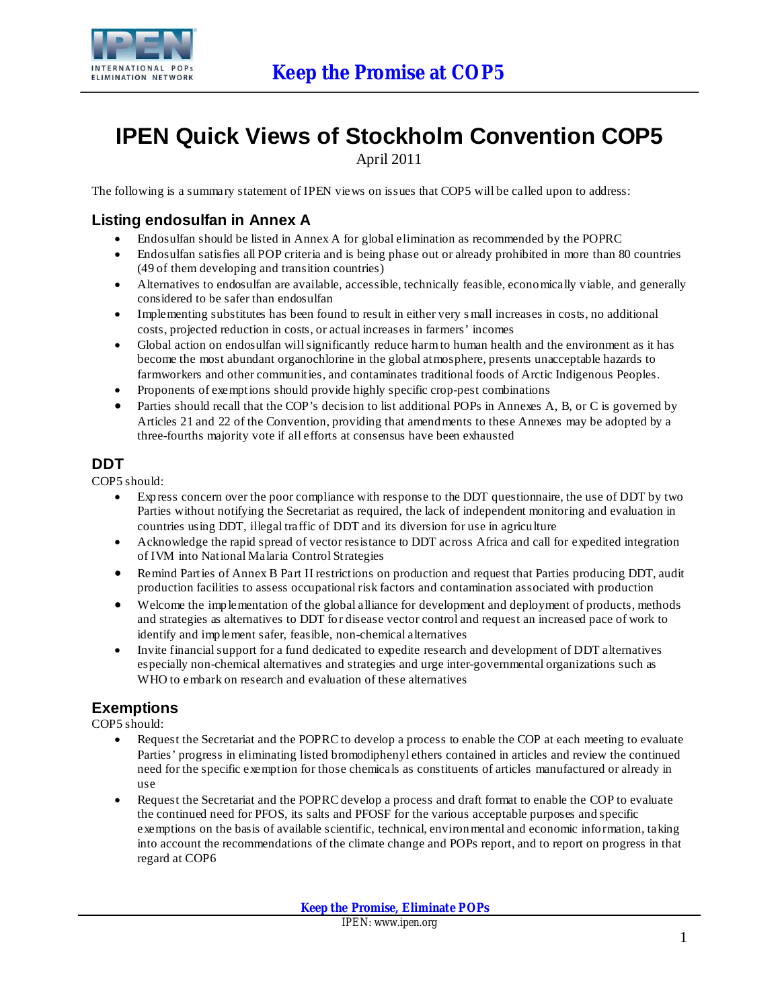

# **IPEN Quick Views of Stockholm Convention COP5**

April 2011

The following is a summary statement of IPEN views on issues that COP5 will be called upon to address:

# **Listing endosulfan in Annex A**

- · Endosulfan should be listed in Annex A for global elimination as recommended by the POPRC
- · Endosulfan satisfies all POP criteria and is being phase out or already prohibited in more than 80 countries (49 of them developing and transition countries)
- · Alternatives to endosulfan are available, accessible, technically feasible, economically viable, and generally considered to be safer than endosulfan
- Implementing substitutes has been found to result in either very small increases in costs, no additional costs, projected reduction in costs, or actual increases in farmers' incomes
- Global action on endosulfan will significantly reduce harm to human health and the environment as it has become the most abundant organochlorine in the global atmosphere, presents unacceptable hazards to farmworkers and other communities, and contaminates traditional foods of Arctic Indigenous Peoples.
- Proponents of exemptions should provide highly specific crop-pest combinations
- Parties should recall that the COP's decision to list additional POPs in Annexes A, B, or C is governed by Articles 21 and 22 of the Convention, providing that amendments to these Annexes may be adopted by a three-fourths majority vote if all efforts at consensus have been exhausted

## **DDT**

COP5 should:

- Express concern over the poor compliance with response to the DDT questionnaire, the use of DDT by two Parties without notifying the Secretariat as required, the lack of independent monitoring and evaluation in countries using DDT, illegal traffic of DDT and its diversion for use in agriculture
- · Acknowledge the rapid spread of vector resistance to DDT across Africa and call for expedited integration of IVM into National Malaria Control Strategies
- · Remind Parties of Annex B Part II restrictions on production and request that Parties producing DDT, audit production facilities to assess occupational risk factors and contamination associated with production
- · Welcome the implementation of the global alliance for development and deployment of products, methods and strategies as alternatives to DDT for disease vector control and request an increased pace of work to identify and implement safer, feasible, non-chemical alternatives
- Invite financial support for a fund dedicated to expedite research and development of DDT alternatives especially non-chemical alternatives and strategies and urge inter-governmental organizations such as WHO to embark on research and evaluation of these alternatives

# **Exemptions**

COP5 should:

- Request the Secretariat and the POPRC to develop a process to enable the COP at each meeting to evaluate Parties' progress in eliminating listed bromodiphenyl ethers contained in articles and review the continued need for the specific exemption for those chemicals as constituents of articles manufactured or already in use
- Request the Secretariat and the POPRC develop a process and draft format to enable the COP to evaluate the continued need for PFOS, its salts and PFOSF for the various acceptable purposes and specific exemptions on the basis of available scientific, technical, environmental and economic information, taking into account the recommendations of the climate change and POPs report, and to report on progress in that regard at COP6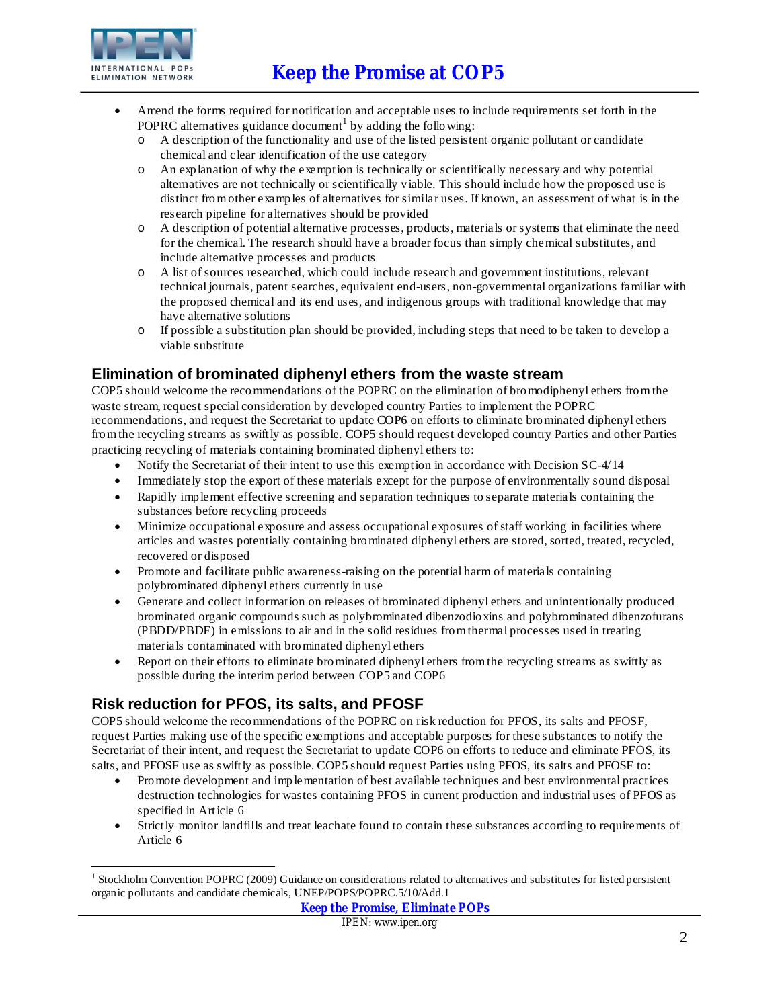# **Keep the Promise at COP5**



- Amend the forms required for notification and acceptable uses to include requirements set forth in the POPRC alternatives guidance document<sup>1</sup> by adding the following:
	- o A description of the functionality and use of the listed persistent organic pollutant or candidate chemical and clear identification of the use category
	- o An explanation of why the exemption is technically or scientifically necessary and why potential alternatives are not technically or scientifically viable. This should include how the proposed use is distinct fromother examples of alternatives for similar uses. If known, an assessment of what is in the research pipeline for alternatives should be provided
	- o A description of potential alternative processes, products, materials or systems that eliminate the need for the chemical. The research should have a broader focus than simply chemical substitutes, and include alternative processes and products
	- o A list of sources researched, which could include research and government institutions, relevant technical journals, patent searches, equivalent end-users, non-governmental organizations familiar with the proposed chemical and its end uses, and indigenous groups with traditional knowledge that may have alternative solutions
	- o If possible a substitution plan should be provided, including steps that need to be taken to develop a viable substitute

### **Elimination of brominated diphenyl ethers from the waste stream**

COP5 should welcome the recommendations of the POPRC on the elimination of bromodiphenyl ethers fromthe waste stream, request special consideration by developed country Parties to implement the POPRC recommendations, and request the Secretariat to update COP6 on efforts to eliminate brominated diphenyl ethers fromthe recycling streams as swiftly as possible. COP5 should request developed country Parties and other Parties practicing recycling of materials containing brominated diphenyl ethers to:

- Notify the Secretariat of their intent to use this exemption in accordance with Decision SC-4/14
- Immediately stop the export of these materials except for the purpose of environmentally sound disposal
- · Rapidly implement effective screening and separation techniques to separate materials containing the substances before recycling proceeds
- · Minimize occupational exposure and assess occupational exposures of staff working in facilities where articles and wastes potentially containing brominated diphenyl ethers are stored, sorted, treated, recycled, recovered or disposed
- · Promote and facilitate public awareness-raising on the potential harm of materials containing polybrominated diphenyl ethers currently in use
- · Generate and collect information on releases of brominated diphenyl ethers and unintentionally produced brominated organic compounds such as polybrominated dibenzodioxins and polybrominated dibenzofurans (PBDD/PBDF) in emissions to air and in the solid residues fromthermal processes used in treating materials contaminated with brominated diphenyl ethers
- Report on their efforts to eliminate brominated diphenyl ethers from the recycling streams as swiftly as possible during the interim period between COP5 and COP6

# **Risk reduction for PFOS, its salts, and PFOSF**

COP5 should welcome the recommendations of the POPRC on risk reduction for PFOS, its salts and PFOSF, request Parties making use of the specific exemptions and acceptable purposes for these substances to notify the Secretariat of their intent, and request the Secretariat to update COP6 on efforts to reduce and eliminate PFOS, its salts, and PFOSF use as swiftly as possible. COP5 should request Parties using PFOS, its salts and PFOSF to:

- · Promote development and implementation of best available techniques and best environmental practices destruction technologies for wastes containing PFOS in current production and industrial uses of PFOS as specified in Article 6
- Strictly monitor landfills and treat leachate found to contain these substances according to requirements of Article 6

<sup>-</sup><sup>1</sup> Stockholm Convention POPRC (2009) Guidance on considerations related to alternatives and substitutes for listed persistent organic pollutants and candidate chemicals, UNEP/POPS/POPRC.5/10/Add.1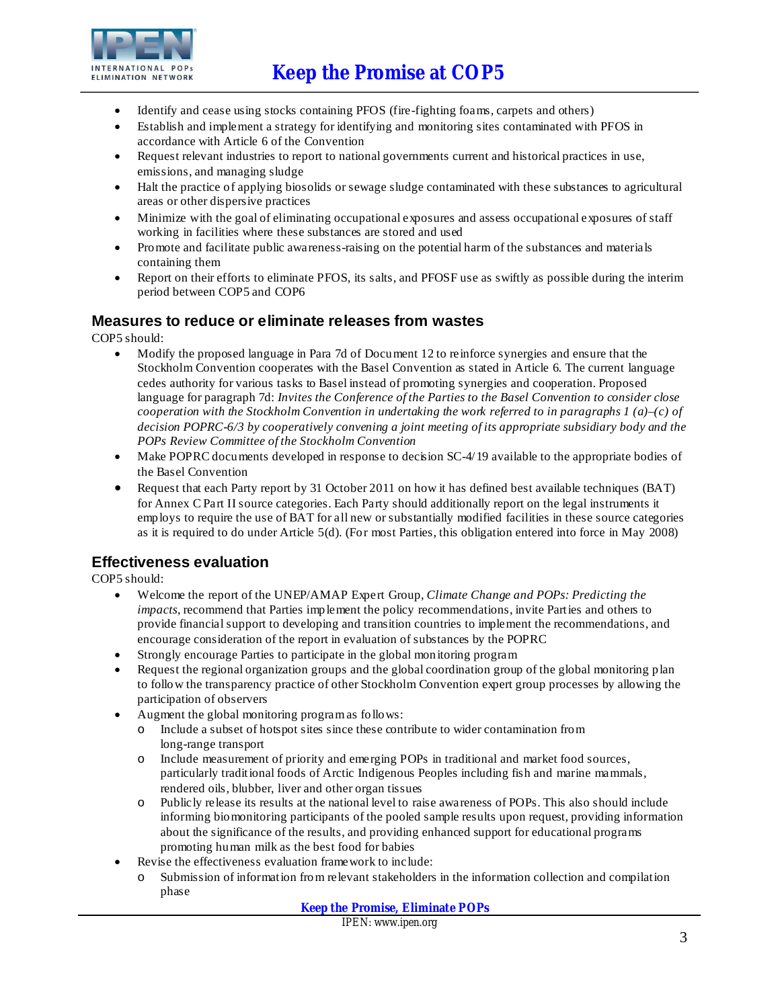

- · Identify and cease using stocks containing PFOS (fire-fighting foams, carpets and others)
- Establish and implement a strategy for identifying and monitoring sites contaminated with PFOS in accordance with Article 6 of the Convention
- · Request relevant industries to report to national governments current and historical practices in use, emissions, and managing sludge
- · Halt the practice of applying biosolids or sewage sludge contaminated with these substances to agricultural areas or other dispersive practices
- · Minimize with the goal of eliminating occupational exposures and assess occupational exposures of staff working in facilities where these substances are stored and used
- · Promote and facilitate public awareness-raising on the potential harm of the substances and materials containing them
- · Report on their efforts to eliminate PFOS, its salts, and PFOSF use as swiftly as possible during the interim period between COP5 and COP6

#### **Measures to reduce or eliminate releases from wastes**

COP5 should:

- · Modify the proposed language in Para 7d of Document 12 to reinforce synergies and ensure that the Stockholm Convention cooperates with the Basel Convention as stated in Article 6. The current language cedes authority for various tasks to Basel instead of promoting synergies and cooperation. Proposed language for paragraph 7d: *Invites the Conference of the Parties to the Basel Convention to consider close cooperation* with the Stockholm Convention in undertaking the work referred to in paragraphs  $1(a)$ –(c) of *decision POPRC-6/3 by cooperatively convening a joint meeting of its appropriate subsidiary body and the POPs Review Committee of the Stockholm Convention*
- Make POPRC documents developed in response to decision SC-4/19 available to the appropriate bodies of the Basel Convention
- Request that each Party report by 31 October 2011 on how it has defined best available techniques (BAT) for Annex C Part II source categories. Each Party should additionally report on the legal instruments it employs to require the use of BAT for all new or substantially modified facilities in these source categories as it is required to do under Article 5(d). (For most Parties, this obligation entered into force in May 2008)

#### **Effectiveness evaluation**

COP5 should:

- · Welcome the report of the UNEP/AMAP Expert Group, *Climate Change and POPs: Predicting the impacts*, recommend that Parties implement the policy recommendations, invite Parties and others to provide financialsupport to developing and transition countries to implement the recommendations, and encourage consideration of the report in evaluation of substances by the POPRC
- Strongly encourage Parties to participate in the global monitoring program
- Request the regional organization groups and the global coordination group of the global monitoring plan to follow the transparency practice of other Stockholm Convention expert group processes by allowing the participation of observers
- Augment the global monitoring program as follows:
	- o Include a subset of hotspot sites since these contribute to wider contamination from long-range transport
	- o Include measurement of priority and emerging POPs in traditional and market food sources, particularly traditional foods of Arctic Indigenous Peoples including fish and marine mammals, rendered oils, blubber, liver and other organ tissues
	- o Publicly release its results at the national level to raise awareness of POPs. This also should include informing biomonitoring participants of the pooled sample results upon request, providing information about the significance of the results, and providing enhanced support for educational programs promoting human milk as the best food for babies
- Revise the effectiveness evaluation frame work to include:
	- o Submission of information from relevant stakeholders in the information collection and compilation phase

**Keep the Promise, Eliminate POPs**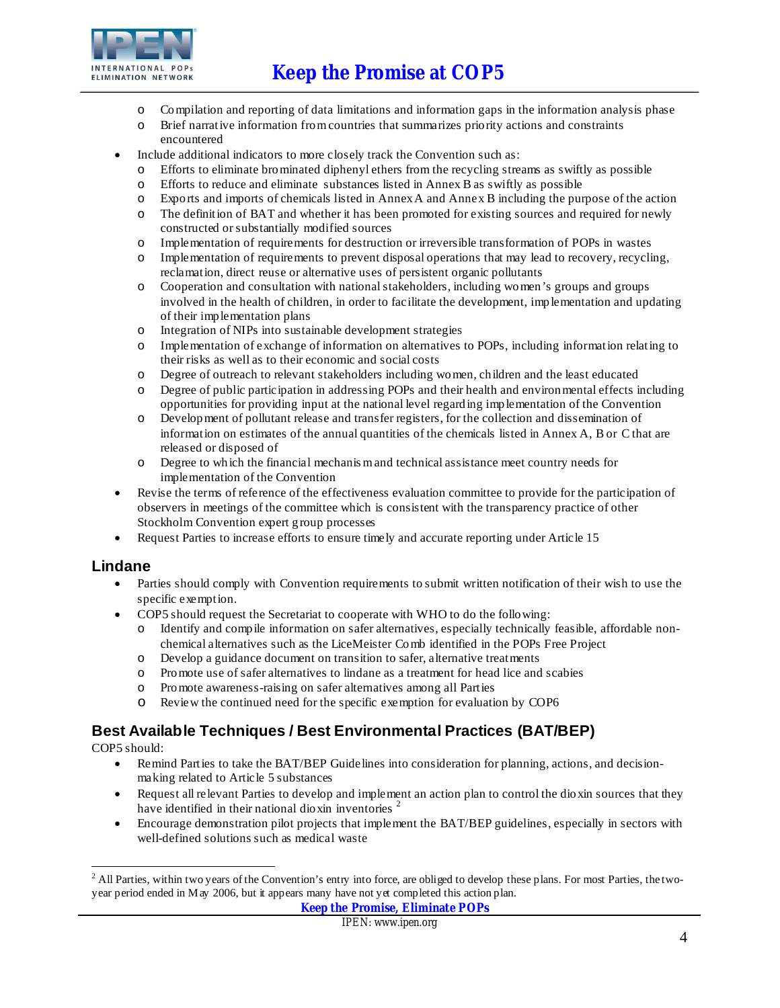

- o Compilation and reporting of data limitations and information gaps in the information analysis phase
- o Brief narrative information fromcountries that summarizes priority actions and constraints encountered
- Include additional indicators to more closely track the Convention such as:
	- o Efforts to eliminate brominated diphenyl ethers from the recycling streams as swiftly as possible
	- o Efforts to reduce and eliminate substances listed in Annex B as swiftly as possible
	- o Exports and imports of chemicals listed in AnnexA and Annex B including the purpose of the action
	- o The definition of BAT and whether it has been promoted for existing sources and required for newly constructed or substantially modified sources
	- o Implementation of requirements for destruction or irreversible transformation of POPs in wastes
	- o Implementation of requirements to prevent disposal operations that may lead to recovery, recycling, reclamation, direct reuse or alternative uses of persistent organic pollutants
	- o Cooperation and consultation with nationalstakeholders, including women's groups and groups involved in the health of children, in order to facilitate the development, implementation and updating of their implementation plans
	- o Integration of NIPs into sustainable development strategies
	- o Implementation of exchange of information on alternatives to POPs, including information relating to their risks as well as to their economic and social costs
	- o Degree of outreach to relevant stakeholders including women, children and the least educated
	- o Degree of public participation in addressing POPs and their health and environmental effects including opportunities for providing input at the national level regarding implementation of the Convention
	- o Development of pollutant release and transfer registers, for the collection and dissemination of information on estimates of the annual quantities of the chemicals listed in Annex A, B or C that are released or disposed of
	- o Degree to which the financial mechanismand technical assistance meet country needs for implementation of the Convention
- Revise the terms of reference of the effectiveness evaluation committee to provide for the participation of observers in meetings of the committee which is consistent with the transparency practice of other Stockholm Convention expert group processes
- Request Parties to increase efforts to ensure timely and accurate reporting under Article 15

#### **Lindane**

- Parties should comply with Convention requirements to submit written notification of their wish to use the specific exemption.
- · COP5 should request the Secretariat to cooperate with WHO to do the following:
	- o Identify and compile information on safer alternatives, especially technically feasible, affordable nonchemical alternatives such as the LiceMeister Comb identified in the POPs Free Project
	- o Develop a guidance document on transition to safer, alternative treatments
	- o Promote use of safer alternatives to lindane as a treatment for head lice and scabies
	- o Promote awareness-raising on safer alternatives among all Parties
	- o Review the continued need for the specific exemption for evaluation by COP6

## **Best Available Techniques / Best Environmental Practices (BAT/BEP)**

COP5 should:

- Remind Parties to take the BAT/BEP Guidelines into consideration for planning, actions, and decisionmaking related to Article 5 substances
- · Request all relevant Parties to develop and implement an action plan to control the dioxin sources that they have identified in their national dioxin inventories  $2$
- Encourage demonstration pilot projects that implement the BAT/BEP guidelines, especially in sectors with well-defined solutions such as medical waste

<sup>-</sup><sup>2</sup> All Parties, within two years of the Convention's entry into force, are obliged to develop these plans. For most Parties, the twoyear period ended in May 2006, but it appears many have not yet completed this action plan.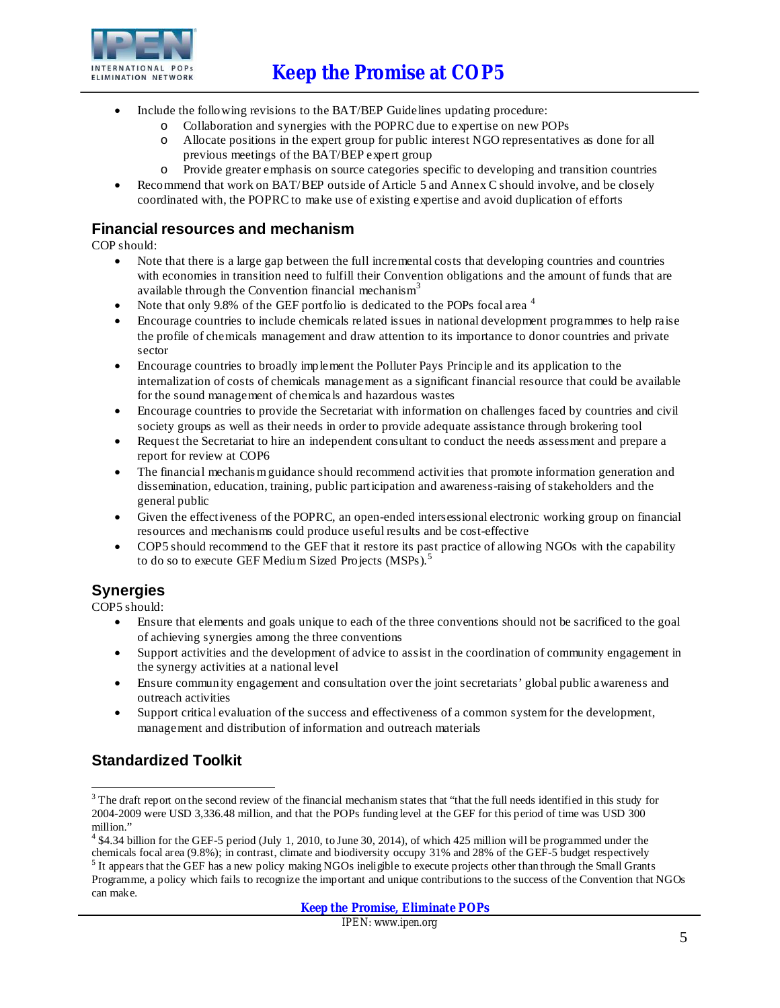

- Include the following revisions to the BAT/BEP Guidelines updating procedure:
	- o Collaboration and synergies with the POPRC due to expertise on new POPs
	- o Allocate positions in the expert group for public interest NGO representatives as done for all previous meetings of the BAT/BEP expert group
	- o Provide greater emphasis on source categories specific to developing and transition countries
- Recommend that work on BAT/BEP outside of Article 5 and Annex C should involve, and be closely coordinated with, the POPRC to make use of existing expertise and avoid duplication of efforts

### **Financial resources and mechanism**

COP should:

- Note that there is a large gap between the full incremental costs that developing countries and countries with economies in transition need to fulfill their Convention obligations and the amount of funds that are available through the Convention financial mechanism<sup>3</sup>
- Note that only 9.8% of the GEF portfolio is dedicated to the POPs focal area  $4$
- Encourage countries to include chemicals related issues in national development programmes to help raise the profile of chemicals management and draw attention to its importance to donor countries and private sector
- · Encourage countries to broadly implement the Polluter Pays Principle and its application to the internalization of costs of chemicals management as a significant financial resource that could be available for the sound management of chemicals and hazardous wastes
- · Encourage countries to provide the Secretariat with information on challenges faced by countries and civil society groups as well as their needs in order to provide adequate assistance through brokering tool
- Request the Secretariat to hire an independent consultant to conduct the needs assessment and prepare a report for review at COP6
- The financial mechanism guidance should recommend activities that promote information generation and dissemination, education, training, public participation and awareness-raising of stakeholders and the general public
- Given the effectiveness of the POPRC, an open-ended intersessional electronic working group on financial resources and mechanisms could produce useful results and be cost-effective
- · COP5 should recommend to the GEF that it restore its past practice of allowing NGOs with the capability to do so to execute GEF Medium Sized Projects (MSPs).<sup>5</sup>

## **Synergies**

COP5 should:

- Ensure that elements and goals unique to each of the three conventions should not be sacrificed to the goal of achieving synergies among the three conventions
- · Support activities and the development of advice to assist in the coordination of community engagement in the synergy activities at a national level
- · Ensure community engagement and consultation over the joint secretariats' global public awareness and outreach activities
- · Support critical evaluation of the success and effectiveness of a common systemfor the development, management and distribution of information and outreach materials

# **Standardized Toolkit**

**Keep the Promise, Eliminate POPs**

 $\overline{a}$  $3$  The draft report on the second review of the financial mechanism states that "that the full needs identified in this study for 2004-2009 were USD 3,336.48 million, and that the POPs funding level at the GEF for this period of time was USD 300 million."

<sup>4</sup> \$4.34 billion for the GEF-5 period (July 1, 2010, to June 30, 2014), of which 425 million will be programmed under the chemicals focal area (9.8%); in contrast, climate and biodiversity occupy 31% and 28% of the GEF-5 budget respectively

 $<sup>5</sup>$  It appears that the GEF has a new policy making NGOs ineligible to execute projects other than through the Small Grants</sup> Programme, a policy which fails to recognize the important and unique contributionsto the success of the Convention that NGOs can make.